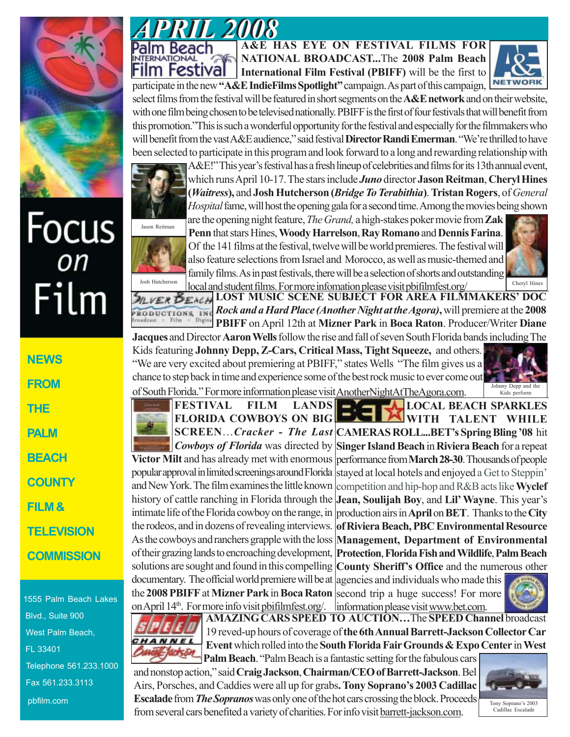

## Focus<br><sub>on</sub> Film

**NEWS FROM THE PALM BEACH COUNTY FILM & TELEVISION COMMISSION**

1555 Palm Beach Lakes Blvd., Suite 900 West Palm Beach, FL 33401 Telephone 561.233.1000 Fax 561.233.3113 pbfilm.com



m Festival

**A&E HAS EYE ON FESTIVAL FILMS FOR NATIONAL BROADCAST...**The **2008 Palm Beach International Film Festival (PBIFF)** will be the first to



participate in the new **"A&E IndieFilms Spotlight"** campaign. As part of this campaign, select films from the festival will be featured in short segments on the **A&E network** and on their website, with one film being chosen to be televised nationally. PBIFF is the first of four festivals that will benefit from this promotion."This is such a wonderful opportunity for the festival and especially for the filmmakers who will benefit from the vast A&E audience," said festival **Director Randi Emerman**. "We're thrilled to have been selected to participate in this program and look forward to a long and rewarding relationship with



A&E!" This year's festival has a fresh lineup of celebrities and films for its 13th annual event, which runs April 10-17. The stars include *Juno* director **Jason Reitman**, **Cheryl Hines (***Waitress***),** and **Josh Hutcherson (***Bridge To Terabithia***)**. **Tristan Rogers**, of *General Hospital* fame, will host the opening gala for a second time. Among the movies being shown



are the opening night feature, *The Grand,* a high-stakes poker movie from **Zak Penn** that stars Hines, **Woody Harrelson**, **Ray Romano** and **Dennis Farina**. Of the 141 films at the festival, twelve will be world premieres. The festival will also feature selections from Israel and Morocco, as well as music-themed and family films. As in past festivals, there will be a selection of shorts and outstanding Cheryl Hines

local and student films. For more infomation please visit pbifilmfest.org/ **LOST MUSIC SCENE SUBJECT FOR AREA FILMMAKERS' DOC** *Rock and a Hard Place (Another Night at the Agora)***,**will premiere at the **2008 RODUCTIONS** INC Digital  $+$  Film **PBIFF** on April 12th at **Mizner Park** in **Boca Raton**. Producer/Writer **Diane**

**Jacques** and Director **Aaron Wells** follow the rise and fall of seven South Florida bands including The Kids featuring **Johnny Depp, Z-Cars, Critical Mass, Tight Squeeze,** and others. "We are very excited about premiering at PBIFF," states Wells "The film gives us a chance to step back in time and experience some of the best rock music to ever come out of South Florida." For more information please visit Another Night At The Agora.com



**LOCAL BEACH SPARKLES**

**FESTIVAL FILM LANDS FLORIDA COWBOYS ON BIG**

documentary. The official world premiere will be at agencies and individuals who made this the **2008 PBIFF** at Mizner Park in Boca Raton second trip a huge success! For more and New York. The film examines the little known history of cattle ranching in Florida through the the rodeos, and in dozens of revealing interviews. As the cowboys and ranchers grapple with the loss

╌ **WITH TALENT WHILE CAMERAS ROLL...BET's Spring Bling '08** hit **SCREEN**…*Cracker - The Last* **Cowboys of Florida** was directed by Singer Island Beach in Riviera Beach for a repeat Victor Milt and has already met with enormous performance from March 28-30. Thousands of people popular approval in limited screenings around Florida stayed at local hotels and enjoyed a Get to Steppin' competition and hip-hop and R&B acts like **Wyclef Jean, Soulijah Boy**, and **Lil' Wayne**. This year's intimate life of the Florida cowboy on the range, in production airs in **April** on **BET**. Thanks to the City **of Riviera Beach, PBC Environmental Resource Management, Department of Environmental Protection**, **Florida Fish and Wildlife**, **Palm Beach** of their grazing lands to encroaching development, solutions are sought and found in this compelling **County Sheriff's Office** and the numerous other

on April 14<sup>th</sup>. For more info visit pbifilmfest.org/ | information please visit www.bet.com.





**AMAZING CARS SPEED TO AUCTION…**The **SPEED Channel** broadcast 19 reved-up hours of coverage of **the 6th Annual Barrett-Jackson Collector Car Event** which rolled into the **South Florida Fair Grounds & Expo Center** in **West Palm Beach**. "Palm Beach is a fantastic setting for the fabulous cars

and nonstop action," said **Craig Jackson**, **Chairman/CEO of Barrett-Jackson**. Bel Airs, Porsches, and Caddies were all up for grabs**. Tony Soprano's 2003 Cadillac Escalade** from *The Sopranos*was only one of the hot cars crossing the block. Proceeds from several cars benefited a variety of charities. For info visit barrett-jackson.com.